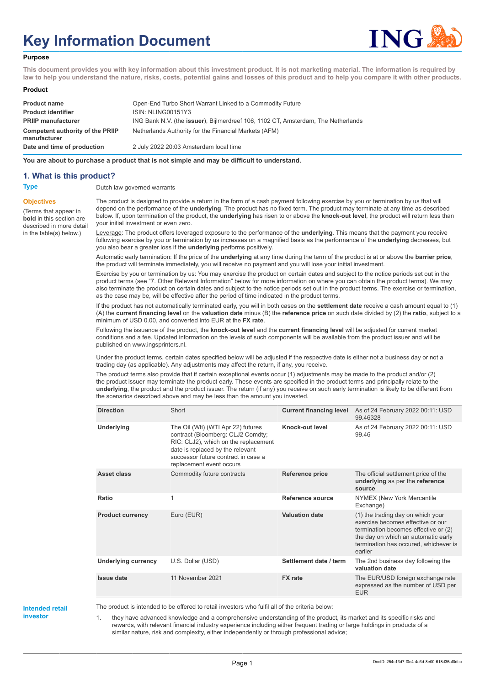# **Key Information Document**



#### **Purpose**

**This document provides you with key information about this investment product. It is not marketing material. The information is required by law to help you understand the nature, risks, costs, potential gains and losses of this product and to help you compare it with other products.**

#### **Product**

| <b>Product name</b>                              | Open-End Turbo Short Warrant Linked to a Commodity Future                         |
|--------------------------------------------------|-----------------------------------------------------------------------------------|
| <b>Product identifier</b>                        | ISIN: NLING00151Y3                                                                |
| <b>PRIIP manufacturer</b>                        | ING Bank N.V. (the issuer), Bijlmerdreef 106, 1102 CT, Amsterdam, The Netherlands |
| Competent authority of the PRIIP<br>manufacturer | Netherlands Authority for the Financial Markets (AFM)                             |
| Date and time of production                      | 2 July 2022 20:03 Amsterdam local time                                            |

**You are about to purchase a product that is not simple and may be difficult to understand.**

#### **1. What is this product?**

**Objectives**

(Terms that appear in **bold** in this section are

in the table(s) below.)

**Type** Dutch law governed warrants

described in more detail The product is designed to provide a return in the form of a cash payment following exercise by you or termination by us that will depend on the performance of the **underlying**. The product has no fixed term. The product may terminate at any time as described below. If, upon termination of the product, the **underlying** has risen to or above the **knock-out level**, the product will return less than your initial investment or even zero.

> Leverage: The product offers leveraged exposure to the performance of the **underlying**. This means that the payment you receive following exercise by you or termination by us increases on a magnified basis as the performance of the **underlying** decreases, but you also bear a greater loss if the **underlying** performs positively.

> Automatic early termination: If the price of the **underlying** at any time during the term of the product is at or above the **barrier price**, the product will terminate immediately, you will receive no payment and you will lose your initial investment.

Exercise by you or termination by us: You may exercise the product on certain dates and subject to the notice periods set out in the product terms (see "7. Other Relevant Information" below for more information on where you can obtain the product terms). We may also terminate the product on certain dates and subject to the notice periods set out in the product terms. The exercise or termination, as the case may be, will be effective after the period of time indicated in the product terms.

If the product has not automatically terminated early, you will in both cases on the **settlement date** receive a cash amount equal to (1) (A) the **current financing level** on the **valuation date** minus (B) the **reference price** on such date divided by (2) the **ratio**, subject to a minimum of USD 0.00, and converted into EUR at the **FX rate**.

Following the issuance of the product, the **knock-out level** and the **current financing level** will be adjusted for current market conditions and a fee. Updated information on the levels of such components will be available from the product issuer and will be published on www.ingsprinters.nl.

Under the product terms, certain dates specified below will be adjusted if the respective date is either not a business day or not a trading day (as applicable). Any adjustments may affect the return, if any, you receive.

The product terms also provide that if certain exceptional events occur (1) adjustments may be made to the product and/or (2) the product issuer may terminate the product early. These events are specified in the product terms and principally relate to the **underlying**, the product and the product issuer. The return (if any) you receive on such early termination is likely to be different from the scenarios described above and may be less than the amount you invested.

| <b>Direction</b>           | Short                                                                                                                                                                                                                  | <b>Current financing level</b> | As of 24 February 2022 00:11: USD<br>99.46328                                                                                                                                                             |
|----------------------------|------------------------------------------------------------------------------------------------------------------------------------------------------------------------------------------------------------------------|--------------------------------|-----------------------------------------------------------------------------------------------------------------------------------------------------------------------------------------------------------|
| <b>Underlying</b>          | The Oil (Wti) (WTI Apr 22) futures<br>contract (Bloomberg: CLJ2 Comdty;<br>RIC: CLJ2), which on the replacement<br>date is replaced by the relevant<br>successor future contract in case a<br>replacement event occurs | Knock-out level                | As of 24 February 2022 00:11: USD<br>99.46                                                                                                                                                                |
| Asset class                | Commodity future contracts                                                                                                                                                                                             | <b>Reference price</b>         | The official settlement price of the<br>underlying as per the reference<br>source                                                                                                                         |
| Ratio                      | 1                                                                                                                                                                                                                      | Reference source               | NYMEX (New York Mercantile<br>Exchange)                                                                                                                                                                   |
| <b>Product currency</b>    | Euro (EUR)                                                                                                                                                                                                             | <b>Valuation date</b>          | (1) the trading day on which your<br>exercise becomes effective or our<br>termination becomes effective or (2)<br>the day on which an automatic early<br>termination has occured, whichever is<br>earlier |
| <b>Underlying currency</b> | U.S. Dollar (USD)                                                                                                                                                                                                      | Settlement date / term         | The 2nd business day following the<br>valuation date                                                                                                                                                      |
| Issue date                 | 11 November 2021                                                                                                                                                                                                       | <b>FX</b> rate                 | The EUR/USD foreign exchange rate<br>expressed as the number of USD per<br><b>EUR</b>                                                                                                                     |

**Intended retail investor**

The product is intended to be offered to retail investors who fulfil all of the criteria below:

1. they have advanced knowledge and a comprehensive understanding of the product, its market and its specific risks and rewards, with relevant financial industry experience including either frequent trading or large holdings in products of a similar nature, risk and complexity, either independently or through professional advice;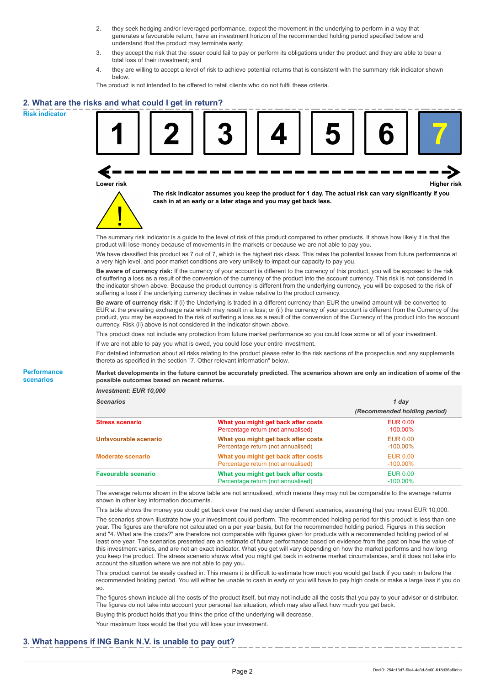- 2. they seek hedging and/or leveraged performance, expect the movement in the underlying to perform in a way that generates a favourable return, have an investment horizon of the recommended holding period specified below and understand that the product may terminate early;
- 3. they accept the risk that the issuer could fail to pay or perform its obligations under the product and they are able to bear a total loss of their investment; and
- 4. they are willing to accept a level of risk to achieve potential returns that is consistent with the summary risk indicator shown below.

The product is not intended to be offered to retail clients who do not fulfil these criteria.

## **2. What are the risks and what could I get in return?**

**Risk indicator**

**Performance scenarios**





**The risk indicator assumes you keep the product for 1 day. The actual risk can vary significantly if you cash in at an early or a later stage and you may get back less.**

The summary risk indicator is a guide to the level of risk of this product compared to other products. It shows how likely it is that the product will lose money because of movements in the markets or because we are not able to pay you.

We have classified this product as 7 out of 7, which is the highest risk class. This rates the potential losses from future performance at a very high level, and poor market conditions are very unlikely to impact our capacity to pay you.

**Be aware of currency risk:** If the currency of your account is different to the currency of this product, you will be exposed to the risk of suffering a loss as a result of the conversion of the currency of the product into the account currency. This risk is not considered in the indicator shown above. Because the product currency is different from the underlying currency, you will be exposed to the risk of suffering a loss if the underlying currency declines in value relative to the product currency.

**Be aware of currency risk:** If (i) the Underlying is traded in a different currency than EUR the unwind amount will be converted to EUR at the prevailing exchange rate which may result in a loss; or (ii) the currency of your account is different from the Currency of the product, you may be exposed to the risk of suffering a loss as a result of the conversion of the Currency of the product into the account currency. Risk (ii) above is not considered in the indicator shown above.

This product does not include any protection from future market performance so you could lose some or all of your investment.

If we are not able to pay you what is owed, you could lose your entire investment.

For detailed information about all risks relating to the product please refer to the risk sections of the prospectus and any supplements thereto as specified in the section "7. Other relevant information" below.

**Market developments in the future cannot be accurately predicted. The scenarios shown are only an indication of some of the possible outcomes based on recent returns.**

*Investment: EUR 10,000*

| <b>Scenarios</b>           |                                                                           | 1 day                          |  |
|----------------------------|---------------------------------------------------------------------------|--------------------------------|--|
|                            |                                                                           | (Recommended holding period)   |  |
| <b>Stress scenario</b>     | What you might get back after costs<br>Percentage return (not annualised) | <b>EUR 0.00</b><br>$-100.00\%$ |  |
| Unfavourable scenario      | What you might get back after costs<br>Percentage return (not annualised) | EUR 0.00<br>$-100.00\%$        |  |
| <b>Moderate scenario</b>   | What you might get back after costs<br>Percentage return (not annualised) | <b>EUR 0.00</b><br>$-100.00\%$ |  |
| <b>Favourable scenario</b> | What you might get back after costs<br>Percentage return (not annualised) | <b>EUR 0.00</b><br>$-100.00\%$ |  |

The average returns shown in the above table are not annualised, which means they may not be comparable to the average returns shown in other key information documents.

This table shows the money you could get back over the next day under different scenarios, assuming that you invest EUR 10,000. The scenarios shown illustrate how your investment could perform. The recommended holding period for this product is less than one year. The figures are therefore not calculated on a per year basis, but for the recommended holding period. Figures in this section and "4. What are the costs?" are therefore not comparable with figures given for products with a recommended holding period of at least one year. The scenarios presented are an estimate of future performance based on evidence from the past on how the value of this investment varies, and are not an exact indicator. What you get will vary depending on how the market performs and how long you keep the product. The stress scenario shows what you might get back in extreme market circumstances, and it does not take into account the situation where we are not able to pay you.

This product cannot be easily cashed in. This means it is difficult to estimate how much you would get back if you cash in before the recommended holding period. You will either be unable to cash in early or you will have to pay high costs or make a large loss if you do so.

The figures shown include all the costs of the product itself, but may not include all the costs that you pay to your advisor or distributor. The figures do not take into account your personal tax situation, which may also affect how much you get back.

Buying this product holds that you think the price of the underlying will decrease.

Your maximum loss would be that you will lose your investment.

### **3. What happens if ING Bank N.V. is unable to pay out?**

DocID: 254c13d7-f0e4-4e3d-8e00-618d36af0dbc